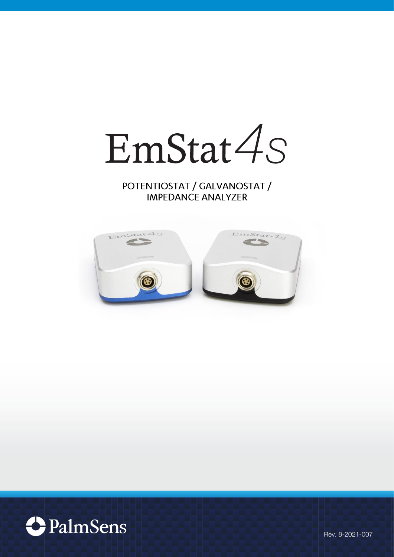EmStat4s

POTENTIOSTAT / GALVANOSTAT / **IMPEDANCE ANALYZER** 





Rev. 8-2021-007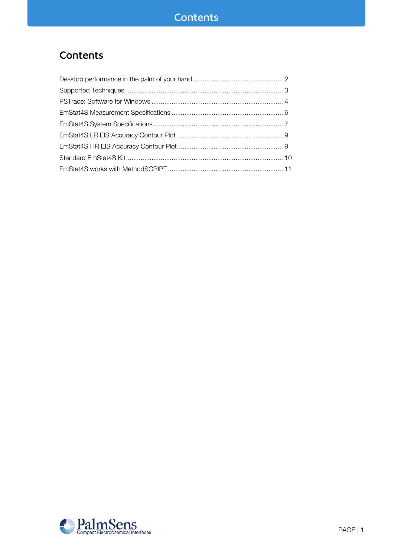## Contents

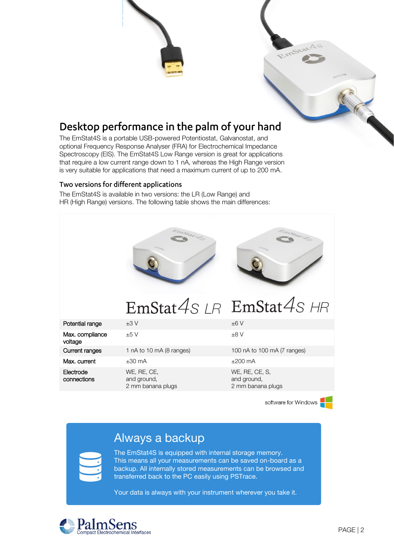

<span id="page-2-0"></span>The EmStat4S is a portable USB-powered Potentiostat, Galvanostat, and optional Frequency Response Analyser (FRA) for Electrochemical Impedance Spectroscopy (EIS). The EmStat4S Low Range version is great for applications that require a low current range down to 1 nA, whereas the High Range version is very suitable for applications that need a maximum current of up to 200 mA.

#### Two versions for different applications

The EmStat4S is available in two versions: the LR (Low Range) and HR (High Range) versions. The following table shows the main differences:



software for Windows

## Always a backup

The EmStat4S is equipped with internal storage memory. This means all your measurements can be saved on-board as a backup. All internally stored measurements can be browsed and transferred back to the PC easily using PSTrace.

Your data is always with your instrument wherever you take it.

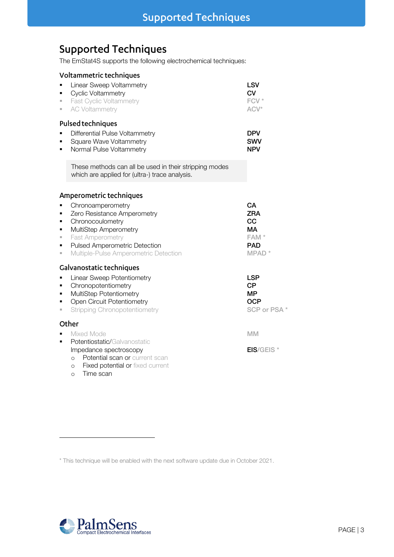## <span id="page-3-0"></span>**Supported Techniques**

The EmStat4S supports the following electrochemical techniques:

| Voltammetric techniques |  |  |  |
|-------------------------|--|--|--|
|-------------------------|--|--|--|

| ш | Linear Sweep Voltammetry<br>Cyclic Voltammetry<br><b>Fast Cyclic Voltammetry</b><br>AC Voltammetry       | LSV<br>CV<br>FCV <sup>*</sup><br>$ACV^*$ |
|---|----------------------------------------------------------------------------------------------------------|------------------------------------------|
|   | <b>Pulsed techniques</b><br>Differential Pulse Voltammetry                                               | DPV                                      |
|   | Square Wave Voltammetry<br>Normal Pulse Voltammetry                                                      | <b>SWV</b><br><b>NPV</b>                 |
|   | These methods can all be used in their stripping modes<br>which are applied for (ultra-) trace analysis. |                                          |
|   |                                                                                                          |                                          |

#### Amperometric techniques

| • Chronoamperometry                     | CА               |
|-----------------------------------------|------------------|
| • Zero Resistance Amperometry           | <b>ZRA</b>       |
| • Chronocoulometry                      | CC               |
| • MultiStep Amperometry                 | МA               |
| • Fast Amperometry                      | FAM <sup>*</sup> |
| • Pulsed Amperometric Detection         | <b>PAD</b>       |
| • Multiple-Pulse Amperometric Detection | $MPAD*$          |
|                                         |                  |

#### Galvanostatic techniques

| <u>servenostetit teeningees</u>           |            |
|-------------------------------------------|------------|
| • Linear Sweep Potentiometry              | <b>LSP</b> |
| • Chronopotentiometry                     | CP         |
| • MultiStep Potentiometry                 | MP         |
| $\sim$ $\sim$ $\sim$ $\sim$ $\sim$ $\sim$ | ---        |

■ Open Circuit Potentiometry and the control of the COCP of PSA \* SCP or PSA \* ■ Stripping Chronopotentiometry

#### Other

- Mixed Mode MM MM
- **•** Potentiostatic/Galvanostatic
	- Impedance spectroscopy extending the set of the EIS/GEIS  $*$
	- o Potential scan or current scan
	- o Fixed potential or fixed current
	- o Time scan



This technique will be enabled with the next software update due in October 2021.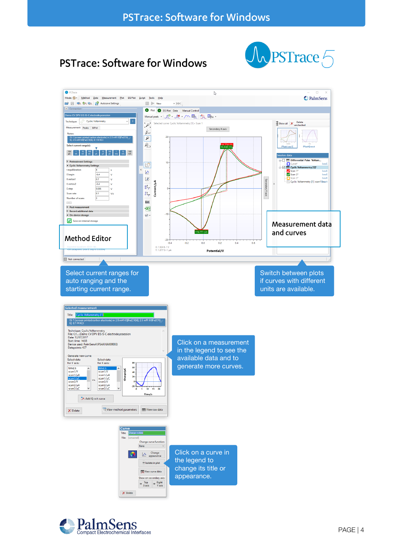## <span id="page-4-0"></span>**PSTrace: Software for Windows**





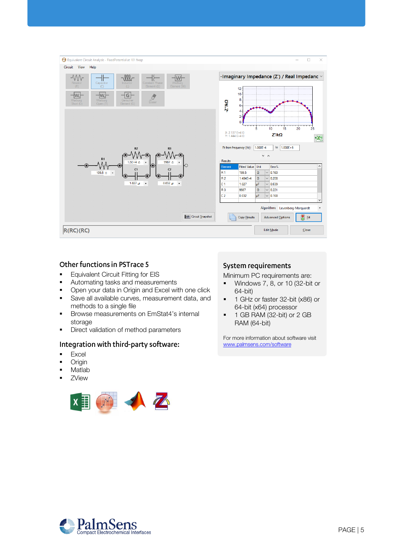

#### Other functions in PSTrace 5

- **Equivalent Circuit Fitting for EIS**
- **■** Automating tasks and measurements
- **•** Open your data in Origin and Excel with one click
- **EXEC** Save all available curves, measurement data, and methods to a single file
- Browse measurements on EmStat4's internal storage
- **•** Direct validation of method parameters

#### Integration with third-party software:

- Excel
- Origin
- Matlab
- ZView



#### **System requirements**

Minimum PC requirements are:

- Windows 7, 8, or 10 (32-bit or 64-bit)
- 1 GHz or faster 32-bit (x86) or 64-bit (x64) processor
- 1 GB RAM (32-bit) or 2 GB RAM (64-bit)

For more information about software visit [www.palmsens.com/software](file:///C:/Users/Lutz%20Stratmann/PalmSensCloud/Customer%20Inquiries/User%20InquiriesArchive/Descriptions/PalmSens3/www.palmsens.com/software)

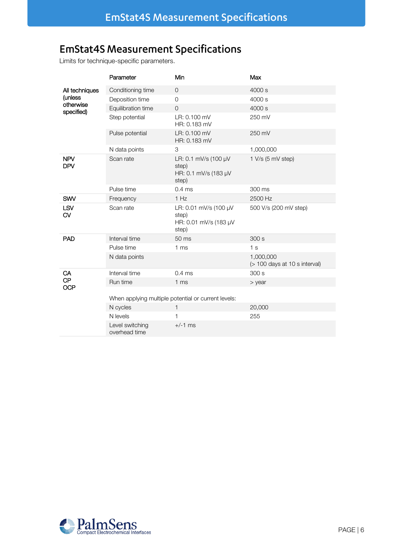## <span id="page-6-0"></span>**EmStat4S Measurement Specifications**

Limits for technique-specific parameters.

|                          | Parameter                                           | Min                                                              | Max                                         |  |  |
|--------------------------|-----------------------------------------------------|------------------------------------------------------------------|---------------------------------------------|--|--|
| All techniques           | Conditioning time                                   | $\overline{O}$                                                   | 4000 s                                      |  |  |
| (unless                  | Deposition time                                     | $\Omega$                                                         | 4000 s                                      |  |  |
| otherwise<br>specified)  | Equilibration time                                  | $\circ$                                                          | 4000 s                                      |  |  |
|                          | Step potential                                      | LR: 0.100 mV<br>HR: 0.183 mV                                     | 250 mV                                      |  |  |
|                          | Pulse potential                                     | LR: 0.100 mV<br>HR: 0.183 mV                                     | 250 mV                                      |  |  |
|                          | N data points                                       | 3                                                                | 1,000,000                                   |  |  |
| <b>NPV</b><br><b>DPV</b> | Scan rate                                           | LR: 0.1 mV/s (100 µV<br>step)<br>HR: 0.1 mV/s (183 µV<br>step)   | 1 V/s (5 mV step)                           |  |  |
|                          | Pulse time                                          | 0.4 <sub>ms</sub>                                                | 300 ms                                      |  |  |
| SWV                      | Frequency                                           | 1 Hz                                                             | 2500 Hz                                     |  |  |
| LSV<br>CV                | Scan rate                                           | LR: 0.01 mV/s (100 µV<br>step)<br>HR: 0.01 mV/s (183 µV<br>step) | 500 V/s (200 mV step)                       |  |  |
| <b>PAD</b>               | Interval time                                       | 50 ms                                                            | 300s                                        |  |  |
|                          | Pulse time                                          | 1 <sub>ms</sub>                                                  | 1 <sub>s</sub>                              |  |  |
|                          | N data points                                       |                                                                  | 1,000,000<br>$($ 100 days at 10 s interval) |  |  |
| CA                       | Interval time                                       | 0.4 <sub>ms</sub>                                                | 300s                                        |  |  |
| <b>CP</b><br><b>OCP</b>  | Run time                                            | 1 <sub>ms</sub>                                                  | $>$ year                                    |  |  |
|                          | When applying multiple potential or current levels: |                                                                  |                                             |  |  |
|                          | N cycles                                            | $\mathbf{1}$                                                     | 20,000                                      |  |  |
|                          | N levels                                            | 1                                                                | 255                                         |  |  |
|                          | Level switching<br>overhead time                    | $+/-1$ ms                                                        |                                             |  |  |

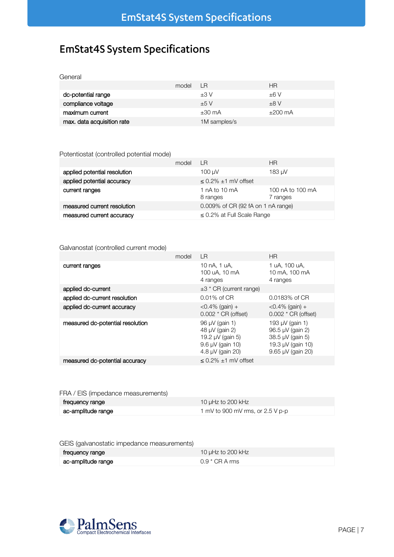## <span id="page-7-0"></span>**EmStat4S System Specifications**

| General                    |       |              |              |
|----------------------------|-------|--------------|--------------|
|                            | model | - LR         | <b>HR</b>    |
| dc-potential range         |       | ±3V          | ±6V          |
| compliance voltage         |       | ±5V          | ±8V          |
| maximum current            |       | $±30$ mA     | $\pm 200$ mA |
| max. data acquisition rate |       | 1M samples/s |              |

#### Potentiostat (controlled potential mode)

|                              | model | I R                                | ΗR                           |
|------------------------------|-------|------------------------------------|------------------------------|
| applied potential resolution |       | $100 \mu V$                        | 183 µV                       |
| applied potential accuracy   |       | $\leq$ 0.2% $\pm$ 1 mV offset      |                              |
| current ranges               |       | 1 $nA$ to 10 $mA$<br>8 ranges      | 100 nA to 100 mA<br>7 ranges |
| measured current resolution  |       | 0.009% of CR (92 fA on 1 nA range) |                              |
| measured current accuracy    |       | $\leq$ 0.2% at Full Scale Range    |                              |

#### Galvanostat (controlled current mode)

|                                  | model | $\overline{\phantom{a}}$                                                                          | <b>HR</b>                                                                                              |
|----------------------------------|-------|---------------------------------------------------------------------------------------------------|--------------------------------------------------------------------------------------------------------|
| current ranges                   |       | 10 nA, 1 uA,<br>100 uA, 10 mA<br>4 ranges                                                         | 1 uA, 100 uA,<br>10 mA, 100 mA<br>4 ranges                                                             |
| applied dc-current               |       | $\pm$ 3 * CR (current range)                                                                      |                                                                                                        |
| applied dc-current resolution    |       | $0.01\%$ of CR                                                                                    | 0.0183% of CR                                                                                          |
| applied dc-current accuracy      |       | $<$ 0.4% (gain) +<br>$0.002 * CR$ (offset)                                                        | $<$ 0.4% (gain) +<br>$0.002 * CR$ (offset)                                                             |
| measured dc-potential resolution |       | 96 µV (gain 1)<br>48 µV (gain 2)<br>19.2 µV (gain 5)<br>$9.6 \mu V$ (gain 10)<br>4.8 µV (gain 20) | 193 µV (gain 1)<br>96.5 µV (gain 2)<br>38.5 µV (gain 5)<br>19.3 µV (gain 10)<br>$9.65 \mu V$ (gain 20) |
| measured dc-potential accuracy   |       | $< 0.2\% \pm 1$ mV offset                                                                         |                                                                                                        |

#### FRA / EIS (impedance measurements)

| trequency range    | 10 $\mu$ Hz to 200 kHz             |
|--------------------|------------------------------------|
| ac-amplitude range | 1 mV to 900 mV rms, or $2.5$ V p-p |

#### GEIS (galvanostatic impedance measurements)

| frequency range    | 10 $\mu$ Hz to 200 kHz |
|--------------------|------------------------|
| ac-amplitude range | 0.9 $*$ CR A rms       |

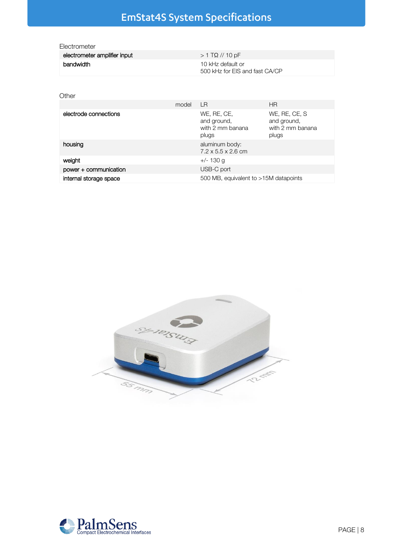# EmStat4S System Specifications

| <b>Llectrometer</b>          |                                                     |
|------------------------------|-----------------------------------------------------|
| electrometer amplifier input | $> 1$ TΩ // 10 pF                                   |
| bandwidth                    | 10 kHz default or<br>500 kHz for EIS and fast CA/CP |

#### **Other**

|                        | model | LR                                                      | ΗR                                                        |
|------------------------|-------|---------------------------------------------------------|-----------------------------------------------------------|
| electrode connections  |       | WE, RE, CE,<br>and ground,<br>with 2 mm banana<br>plugs | WE, RE, CE, S<br>and ground,<br>with 2 mm banana<br>plugs |
| housing                |       | aluminum body:<br>$7.2 \times 5.5 \times 2.6$ cm        |                                                           |
| weight                 |       | $+/- 130$ g                                             |                                                           |
| power + communication  |       | USB-C port                                              |                                                           |
| internal storage space |       | 500 MB, equivalent to >15M datapoints                   |                                                           |



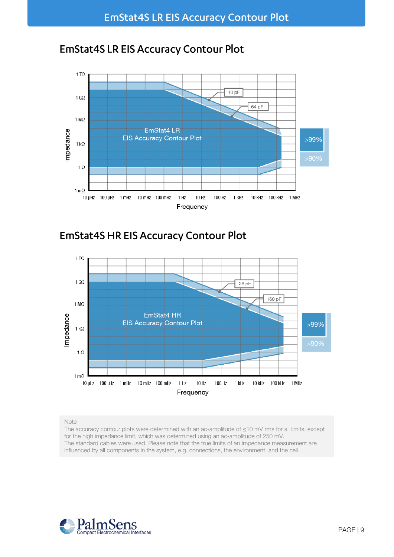

## <span id="page-9-0"></span>**EmStat4S LR EIS Accuracy Contour Plot**

<span id="page-9-1"></span>



#### Note

The accuracy contour plots were determined with an ac-amplitude of ≤10 mV rms for all limits, except for the high impedance limit, which was determined using an ac-amplitude of 250 mV. The standard cables were used. Please note that the true limits of an impedance measurement are influenced by all components in the system, e.g. connections, the environment, and the cell.

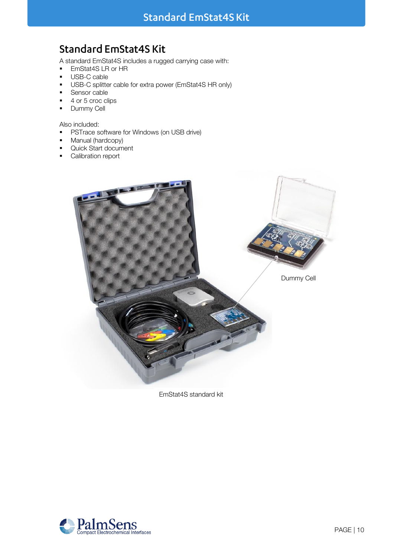## <span id="page-10-0"></span>**Standard EmStat4S Kit**

A standard EmStat4S includes a rugged carrying case with:<br> **EmStat4SLR or HR** 

- EmStat4S LR or HR<br>■ USB-C cable
- USB-C cable
- USB-C splitter cable for extra power (EmStat4S HR only)
- Sensor cable
- 4 or 5 croc clips
- **•** Dummy Cell

Also included:

- **•** PSTrace software for Windows (on USB drive)
- Manual (hardcopy)
- Quick Start document
- Calibration report



EmStat4S standard kit

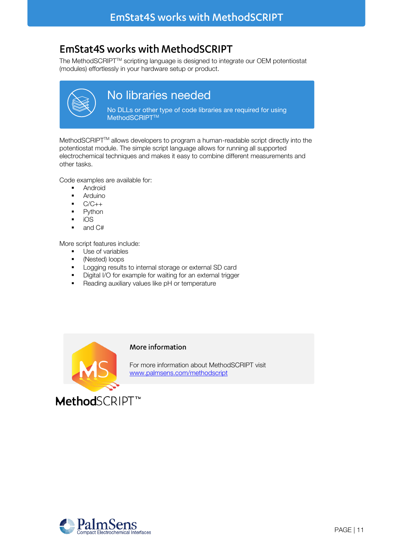## <span id="page-11-0"></span>**EmStat4S works with MethodSCRIPT**

The MethodSCRIPT™ scripting language is designed to integrate our OEM potentiostat (modules) effortlessly in your hardware setup or product.



## No libraries needed

No DLLs or other type of code libraries are required for using MethodSCRIPT<sup>™</sup>

MethodSCRIPT™ allows developers to program a human-readable script directly into the potentiostat module. The simple script language allows for running all supported electrochemical techniques and makes it easy to combine different measurements and other tasks.

Code examples are available for:

- Android
- Arduino
- $\bullet$   $C/C++$
- **Python**
- iOS
- and C#

More script features include:

- Use of variables<br>■ (Nested) loops
- (Nested) loops
- Logging results to internal storage or external SD card
- Digital I/O for example for waiting for an external trigger
- Reading auxiliary values like pH or temperature



#### More information

For more information about MethodSCRIPT visit [www.palmsens.com/methodscript](http://www.palmsens.com/methodscript)